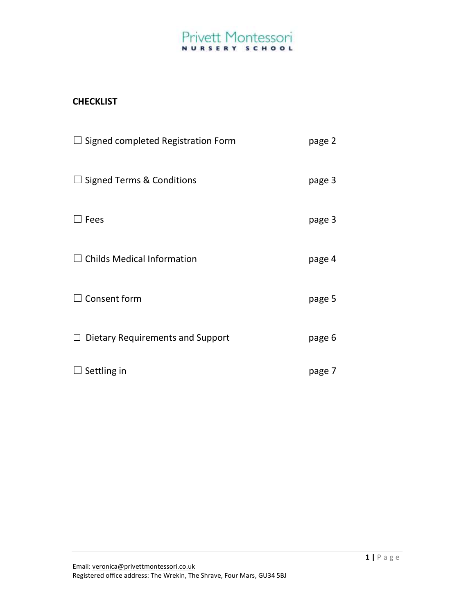## **CHECKLIST**

| Signed completed Registration Form<br>$\sqcup$ | page 2 |
|------------------------------------------------|--------|
| <b>Signed Terms &amp; Conditions</b><br>ш      | page 3 |
| Fees                                           | page 3 |
| <b>Childs Medical Information</b>              | page 4 |
| Consent form                                   | page 5 |
| Dietary Requirements and Support               | page 6 |
| Settling in                                    | page 7 |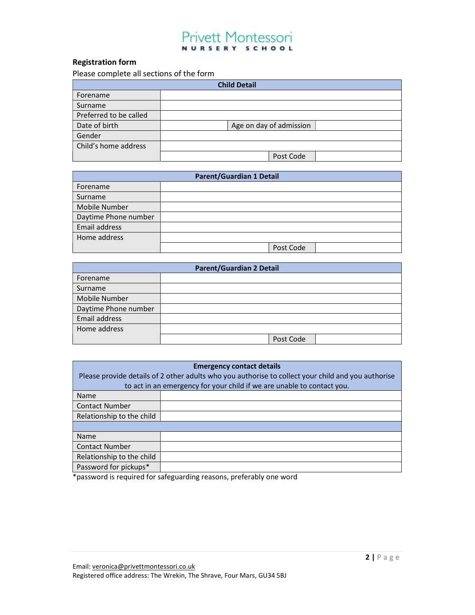### Registration form

Please complete all sections of the form

| <b>Child Detail</b>    |                         |  |  |  |
|------------------------|-------------------------|--|--|--|
| Forename               |                         |  |  |  |
| Surname                |                         |  |  |  |
| Preferred to be called |                         |  |  |  |
| Date of birth          | Age on day of admission |  |  |  |
| Gender                 |                         |  |  |  |
| Child's home address   |                         |  |  |  |
|                        | Post Code               |  |  |  |

| Parent/Guardian 1 Detail |           |  |  |  |
|--------------------------|-----------|--|--|--|
| Forename                 |           |  |  |  |
| Surname                  |           |  |  |  |
| Mobile Number            |           |  |  |  |
| Daytime Phone number     |           |  |  |  |
| Email address            |           |  |  |  |
| Home address             |           |  |  |  |
|                          | Post Code |  |  |  |

| <b>Parent/Guardian 2 Detail</b> |           |  |  |  |
|---------------------------------|-----------|--|--|--|
| Forename                        |           |  |  |  |
| Surname                         |           |  |  |  |
| Mobile Number                   |           |  |  |  |
| Daytime Phone number            |           |  |  |  |
| Email address                   |           |  |  |  |
| Home address                    |           |  |  |  |
|                                 | Post Code |  |  |  |

| <b>Emergency contact details</b><br>Please provide details of 2 other adults who you authorise to collect your child and you authorise |                                                                        |  |  |  |  |
|----------------------------------------------------------------------------------------------------------------------------------------|------------------------------------------------------------------------|--|--|--|--|
|                                                                                                                                        | to act in an emergency for your child if we are unable to contact you. |  |  |  |  |
| Name                                                                                                                                   |                                                                        |  |  |  |  |
| <b>Contact Number</b>                                                                                                                  |                                                                        |  |  |  |  |
| Relationship to the child                                                                                                              |                                                                        |  |  |  |  |
|                                                                                                                                        |                                                                        |  |  |  |  |
| Name                                                                                                                                   |                                                                        |  |  |  |  |
| <b>Contact Number</b>                                                                                                                  |                                                                        |  |  |  |  |
| Relationship to the child                                                                                                              |                                                                        |  |  |  |  |
| Password for pickups*                                                                                                                  |                                                                        |  |  |  |  |

\*password is required for safeguarding reasons, preferably one word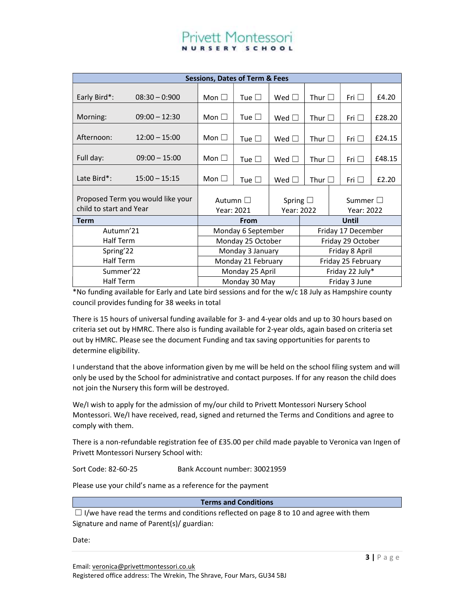| <b>Sessions, Dates of Term &amp; Fees</b>                    |                  |                                                                  |                    |                                |                    |  |            |        |
|--------------------------------------------------------------|------------------|------------------------------------------------------------------|--------------------|--------------------------------|--------------------|--|------------|--------|
| Early Bird*:                                                 | $08:30 - 0:900$  | Mon $\square$                                                    | Tue $\Box$         | Wed $\Box$                     | Thur $\square$     |  | Fri $\Box$ | £4.20  |
| Morning:                                                     | $09:00 - 12:30$  | Mon $\square$                                                    | Tue $\square$      | Wed $\square$                  | Thur $\square$     |  | Fri $\Box$ | £28.20 |
| Afternoon:                                                   | $12:00 - 15:00$  | Mon $\square$                                                    | Tue $\square$      | Wed $\Box$                     | Thur $\square$     |  | Fri $\Box$ | £24.15 |
| Full day:                                                    | $09:00 - 15:00$  | Mon $\square$                                                    | Tue $\Box$         | Wed $\square$                  | Thur $\square$     |  | Fri $\Box$ | £48.15 |
| Late Bird*:                                                  | $15:00 - 15:15$  | Mon $\square$                                                    | Tue $\square$      | Wed $\Box$                     | Thur $\square$     |  | Fri $\Box$ | £2.20  |
| Proposed Term you would like your<br>child to start and Year |                  | Autumn $\square$<br>Spring $\square$<br>Year: 2022<br>Year: 2021 |                    | Summer $\square$<br>Year: 2022 |                    |  |            |        |
| <b>Term</b>                                                  |                  |                                                                  | From               |                                |                    |  | Until      |        |
| Autumn'21                                                    |                  | Monday 6 September                                               |                    | Friday 17 December             |                    |  |            |        |
| <b>Half Term</b>                                             |                  | Monday 25 October                                                |                    | Friday 29 October              |                    |  |            |        |
| Spring'22                                                    |                  | Monday 3 January                                                 |                    |                                | Friday 8 April     |  |            |        |
|                                                              | <b>Half Term</b> |                                                                  | Monday 21 February |                                | Friday 25 February |  |            |        |
| Summer'22                                                    |                  | Monday 25 April                                                  |                    |                                | Friday 22 July*    |  |            |        |
| <b>Half Term</b>                                             |                  | Monday 30 May                                                    |                    | Friday 3 June                  |                    |  |            |        |

\*No funding available for Early and Late bird sessions and for the w/c 18 July as Hampshire county council provides funding for 38 weeks in total

There is 15 hours of universal funding available for 3- and 4-year olds and up to 30 hours based on criteria set out by HMRC. There also is funding available for 2-year olds, again based on criteria set out by HMRC. Please see the document Funding and tax saving opportunities for parents to determine eligibility.

I understand that the above information given by me will be held on the school filing system and will only be used by the School for administrative and contact purposes. If for any reason the child does not join the Nursery this form will be destroyed.

We/I wish to apply for the admission of my/our child to Privett Montessori Nursery School Montessori. We/I have received, read, signed and returned the Terms and Conditions and agree to comply with them.

There is a non-refundable registration fee of £35.00 per child made payable to Veronica van Ingen of Privett Montessori Nursery School with:

Sort Code: 82-60-25 Bank Account number: 30021959

Please use your child's name as a reference for the payment

Terms and Conditions

 $\Box$  I/we have read the terms and conditions reflected on page 8 to 10 and agree with them Signature and name of Parent(s)/ guardian:

Date: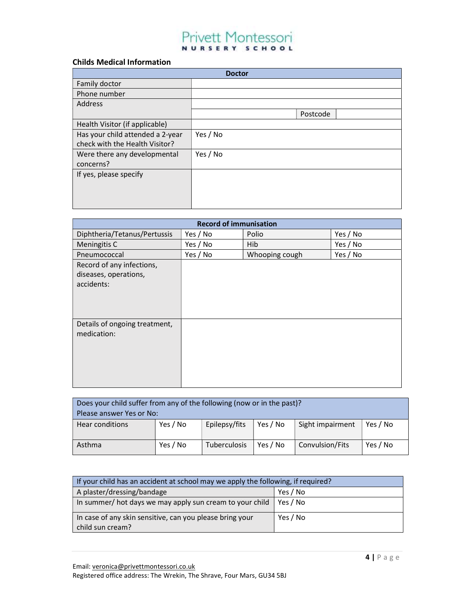### Childs Medical Information

|                                  | <b>Doctor</b> |          |  |
|----------------------------------|---------------|----------|--|
| Family doctor                    |               |          |  |
| Phone number                     |               |          |  |
| <b>Address</b>                   |               |          |  |
|                                  |               | Postcode |  |
| Health Visitor (if applicable)   |               |          |  |
| Has your child attended a 2-year | Yes / No      |          |  |
| check with the Health Visitor?   |               |          |  |
| Were there any developmental     | Yes / No      |          |  |
| concerns?                        |               |          |  |
| If yes, please specify           |               |          |  |
|                                  |               |          |  |
|                                  |               |          |  |
|                                  |               |          |  |

| <b>Record of immunisation</b>                                    |          |                |          |  |  |
|------------------------------------------------------------------|----------|----------------|----------|--|--|
| Diphtheria/Tetanus/Pertussis                                     | Yes / No | Polio          | Yes / No |  |  |
| Meningitis C                                                     | Yes / No | <b>Hib</b>     | Yes / No |  |  |
| Pneumococcal                                                     | Yes / No | Whooping cough | Yes / No |  |  |
| Record of any infections,<br>diseases, operations,<br>accidents: |          |                |          |  |  |
| Details of ongoing treatment,<br>medication:                     |          |                |          |  |  |

| Does your child suffer from any of the following (now or in the past)?<br>Please answer Yes or No: |          |               |          |                  |          |
|----------------------------------------------------------------------------------------------------|----------|---------------|----------|------------------|----------|
| <b>Hear conditions</b>                                                                             | Yes / No | Epilepsy/fits | Yes / No | Sight impairment | Yes / No |
| Asthma                                                                                             | Yes / No | Tuberculosis  | Yes / No | Convulsion/Fits  | Yes / No |

| If your child has an accident at school may we apply the following, if required? |          |  |
|----------------------------------------------------------------------------------|----------|--|
| A plaster/dressing/bandage                                                       | Yes / No |  |
| In summer/ hot days we may apply sun cream to your child<br>Yes / No             |          |  |
| In case of any skin sensitive, can you please bring your<br>child sun cream?     | Yes / No |  |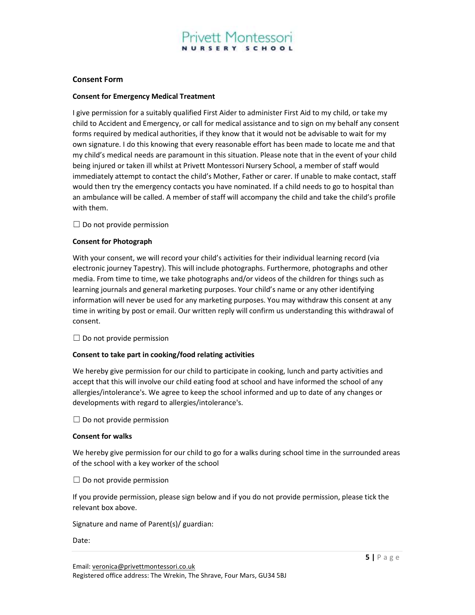#### Consent Form

#### Consent for Emergency Medical Treatment

I give permission for a suitably qualified First Aider to administer First Aid to my child, or take my child to Accident and Emergency, or call for medical assistance and to sign on my behalf any consent forms required by medical authorities, if they know that it would not be advisable to wait for my own signature. I do this knowing that every reasonable effort has been made to locate me and that my child's medical needs are paramount in this situation. Please note that in the event of your child being injured or taken ill whilst at Privett Montessori Nursery School, a member of staff would immediately attempt to contact the child's Mother, Father or carer. If unable to make contact, staff would then try the emergency contacts you have nominated. If a child needs to go to hospital than an ambulance will be called. A member of staff will accompany the child and take the child's profile with them.

 $\Box$  Do not provide permission

#### Consent for Photograph

With your consent, we will record your child's activities for their individual learning record (via electronic journey Tapestry). This will include photographs. Furthermore, photographs and other media. From time to time, we take photographs and/or videos of the children for things such as learning journals and general marketing purposes. Your child's name or any other identifying information will never be used for any marketing purposes. You may withdraw this consent at any time in writing by post or email. Our written reply will confirm us understanding this withdrawal of consent.

 $\Box$  Do not provide permission

#### Consent to take part in cooking/food relating activities

We hereby give permission for our child to participate in cooking, lunch and party activities and accept that this will involve our child eating food at school and have informed the school of any allergies/intolerance's. We agree to keep the school informed and up to date of any changes or developments with regard to allergies/intolerance's.

 $\Box$  Do not provide permission

#### Consent for walks

We hereby give permission for our child to go for a walks during school time in the surrounded areas of the school with a key worker of the school

 $\Box$  Do not provide permission

If you provide permission, please sign below and if you do not provide permission, please tick the relevant box above.

Signature and name of Parent(s)/ guardian:

#### Date: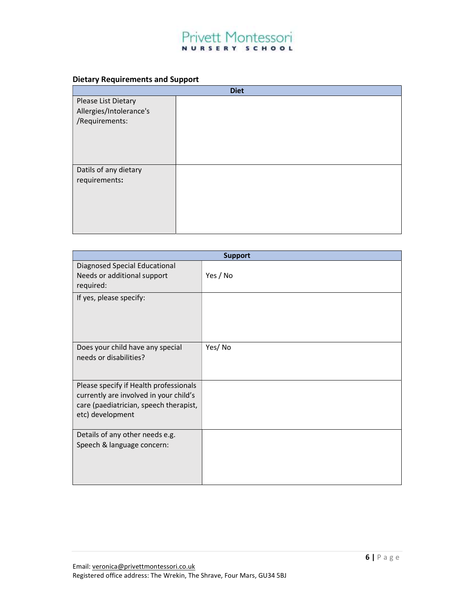### Dietary Requirements and Support

|                         | <b>Diet</b> |
|-------------------------|-------------|
| Please List Dietary     |             |
| Allergies/Intolerance's |             |
| /Requirements:          |             |
|                         |             |
|                         |             |
|                         |             |
| Datils of any dietary   |             |
| requirements:           |             |
|                         |             |
|                         |             |
|                         |             |
|                         |             |
|                         |             |

| <b>Support</b>                                             |          |  |  |
|------------------------------------------------------------|----------|--|--|
| Diagnosed Special Educational                              |          |  |  |
| Needs or additional support                                | Yes / No |  |  |
| required:                                                  |          |  |  |
| If yes, please specify:                                    |          |  |  |
|                                                            |          |  |  |
|                                                            |          |  |  |
|                                                            |          |  |  |
|                                                            |          |  |  |
| Does your child have any special<br>needs or disabilities? | Yes/No   |  |  |
|                                                            |          |  |  |
|                                                            |          |  |  |
| Please specify if Health professionals                     |          |  |  |
| currently are involved in your child's                     |          |  |  |
| care (paediatrician, speech therapist,                     |          |  |  |
| etc) development                                           |          |  |  |
|                                                            |          |  |  |
| Details of any other needs e.g.                            |          |  |  |
| Speech & language concern:                                 |          |  |  |
|                                                            |          |  |  |
|                                                            |          |  |  |
|                                                            |          |  |  |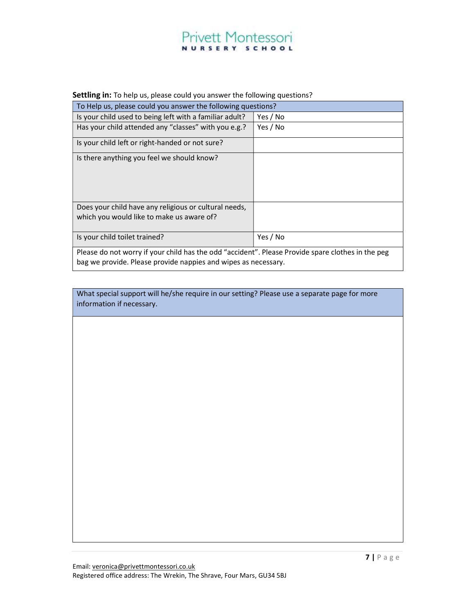## **Privett Montessori** NURSERY SCHOOL

#### Settling in: To help us, please could you answer the following questions?

| To Help us, please could you answer the following questions?                                                                                                        |          |
|---------------------------------------------------------------------------------------------------------------------------------------------------------------------|----------|
| Is your child used to being left with a familiar adult?                                                                                                             | Yes / No |
| Has your child attended any "classes" with you e.g.?                                                                                                                | Yes / No |
| Is your child left or right-handed or not sure?                                                                                                                     |          |
| Is there anything you feel we should know?                                                                                                                          |          |
| Does your child have any religious or cultural needs,                                                                                                               |          |
| which you would like to make us aware of?                                                                                                                           |          |
| Is your child toilet trained?                                                                                                                                       | Yes / No |
| Please do not worry if your child has the odd "accident". Please Provide spare clothes in the peg<br>bag we provide. Please provide nappies and wipes as necessary. |          |

What special support will he/she require in our setting? Please use a separate page for more information if necessary.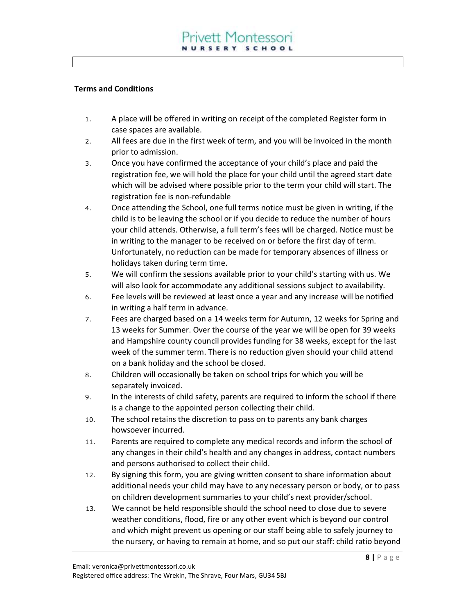### Terms and Conditions

- 1. A place will be offered in writing on receipt of the completed Register form in case spaces are available.
- 2. All fees are due in the first week of term, and you will be invoiced in the month prior to admission.
- 3. Once you have confirmed the acceptance of your child's place and paid the registration fee, we will hold the place for your child until the agreed start date which will be advised where possible prior to the term your child will start. The registration fee is non-refundable
- 4. Once attending the School, one full terms notice must be given in writing, if the child is to be leaving the school or if you decide to reduce the number of hours your child attends. Otherwise, a full term's fees will be charged. Notice must be in writing to the manager to be received on or before the first day of term. Unfortunately, no reduction can be made for temporary absences of illness or holidays taken during term time.
- 5. We will confirm the sessions available prior to your child's starting with us. We will also look for accommodate any additional sessions subject to availability.
- 6. Fee levels will be reviewed at least once a year and any increase will be notified in writing a half term in advance.
- 7. Fees are charged based on a 14 weeks term for Autumn, 12 weeks for Spring and 13 weeks for Summer. Over the course of the year we will be open for 39 weeks and Hampshire county council provides funding for 38 weeks, except for the last week of the summer term. There is no reduction given should your child attend on a bank holiday and the school be closed.
- 8. Children will occasionally be taken on school trips for which you will be separately invoiced.
- 9. In the interests of child safety, parents are required to inform the school if there is a change to the appointed person collecting their child.
- 10. The school retains the discretion to pass on to parents any bank charges howsoever incurred.
- 11. Parents are required to complete any medical records and inform the school of any changes in their child's health and any changes in address, contact numbers and persons authorised to collect their child.
- 12. By signing this form, you are giving written consent to share information about additional needs your child may have to any necessary person or body, or to pass on children development summaries to your child's next provider/school.
- 13. We cannot be held responsible should the school need to close due to severe weather conditions, flood, fire or any other event which is beyond our control and which might prevent us opening or our staff being able to safely journey to the nursery, or having to remain at home, and so put our staff: child ratio beyond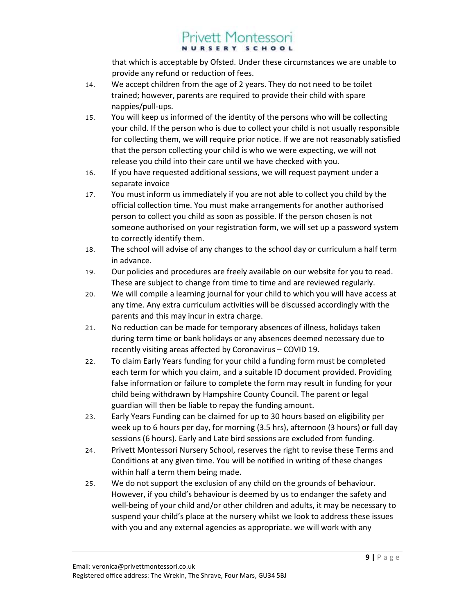## **Privett Montessori** NURSERY SCHOOL

that which is acceptable by Ofsted. Under these circumstances we are unable to provide any refund or reduction of fees.

- 14. We accept children from the age of 2 years. They do not need to be toilet trained; however, parents are required to provide their child with spare nappies/pull-ups.
- 15. You will keep us informed of the identity of the persons who will be collecting your child. If the person who is due to collect your child is not usually responsible for collecting them, we will require prior notice. If we are not reasonably satisfied that the person collecting your child is who we were expecting, we will not release you child into their care until we have checked with you.
- 16. If you have requested additional sessions, we will request payment under a separate invoice
- 17. You must inform us immediately if you are not able to collect you child by the official collection time. You must make arrangements for another authorised person to collect you child as soon as possible. If the person chosen is not someone authorised on your registration form, we will set up a password system to correctly identify them.
- 18. The school will advise of any changes to the school day or curriculum a half term in advance.
- 19. Our policies and procedures are freely available on our website for you to read. These are subject to change from time to time and are reviewed regularly.
- 20. We will compile a learning journal for your child to which you will have access at any time. Any extra curriculum activities will be discussed accordingly with the parents and this may incur in extra charge.
- 21. No reduction can be made for temporary absences of illness, holidays taken during term time or bank holidays or any absences deemed necessary due to recently visiting areas affected by Coronavirus – COVID 19.
- 22. To claim Early Years funding for your child a funding form must be completed each term for which you claim, and a suitable ID document provided. Providing false information or failure to complete the form may result in funding for your child being withdrawn by Hampshire County Council. The parent or legal guardian will then be liable to repay the funding amount.
- 23. Early Years Funding can be claimed for up to 30 hours based on eligibility per week up to 6 hours per day, for morning (3.5 hrs), afternoon (3 hours) or full day sessions (6 hours). Early and Late bird sessions are excluded from funding.
- 24. Privett Montessori Nursery School, reserves the right to revise these Terms and Conditions at any given time. You will be notified in writing of these changes within half a term them being made.
- 25. We do not support the exclusion of any child on the grounds of behaviour. However, if you child's behaviour is deemed by us to endanger the safety and well-being of your child and/or other children and adults, it may be necessary to suspend your child's place at the nursery whilst we look to address these issues with you and any external agencies as appropriate. we will work with any